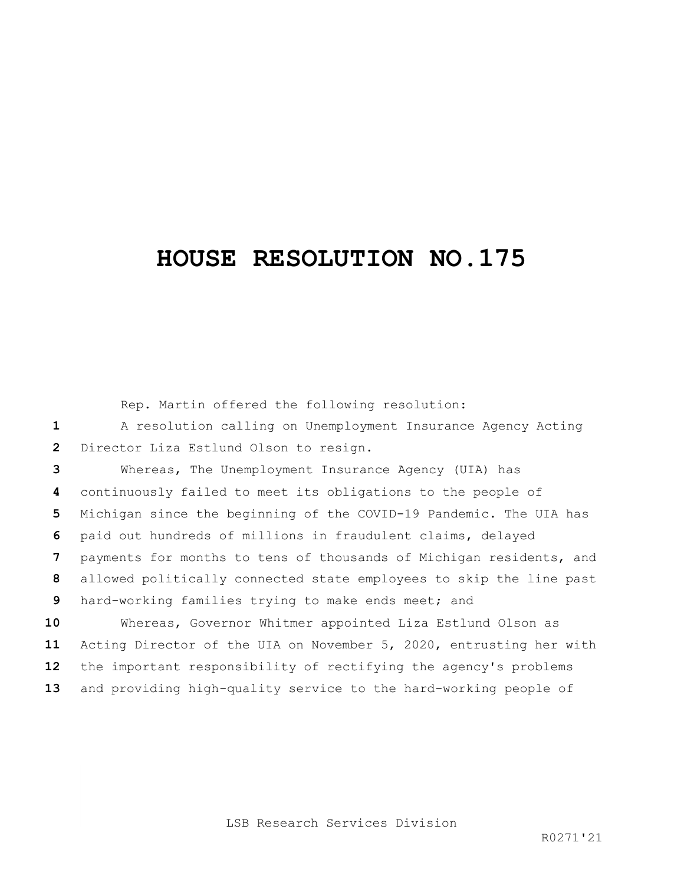## **HOUSE RESOLUTION NO.175**

Rep. Martin offered the following resolution:

 A resolution calling on Unemployment Insurance Agency Acting Director Liza Estlund Olson to resign.

 Whereas, The Unemployment Insurance Agency (UIA) has continuously failed to meet its obligations to the people of Michigan since the beginning of the COVID-19 Pandemic. The UIA has paid out hundreds of millions in fraudulent claims, delayed payments for months to tens of thousands of Michigan residents, and allowed politically connected state employees to skip the line past hard-working families trying to make ends meet; and Whereas, Governor Whitmer appointed Liza Estlund Olson as

 Acting Director of the UIA on November 5, 2020, entrusting her with the important responsibility of rectifying the agency's problems and providing high-quality service to the hard-working people of

LSB Research Services Division